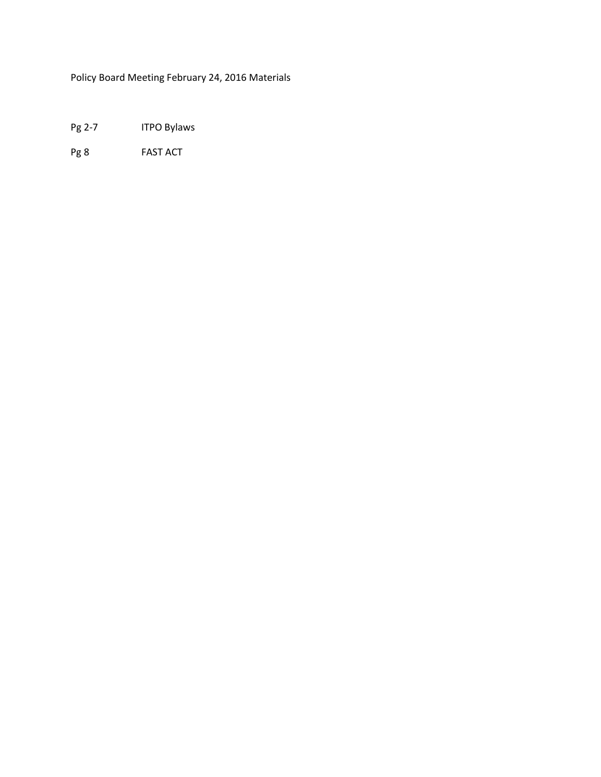Policy Board Meeting February 24, 2016 Materials

Pg 2-7 ITPO Bylaws

Pg 8 FAST ACT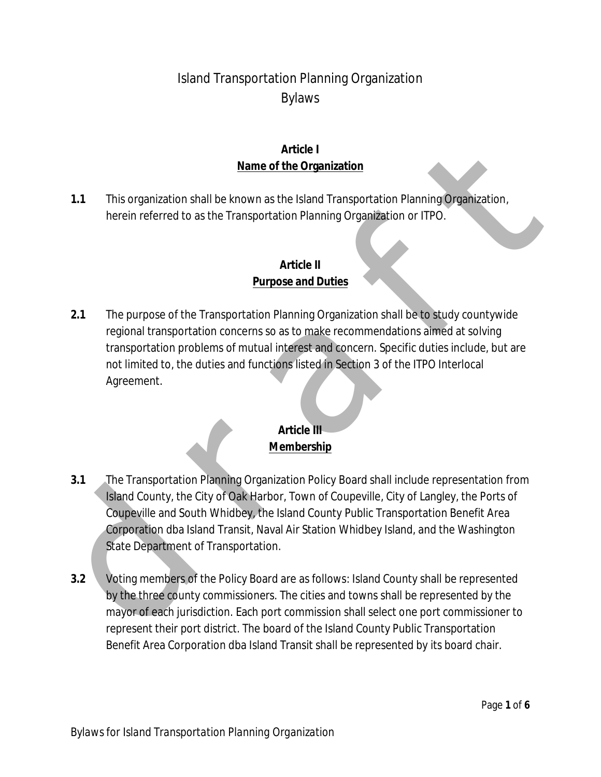# Island Transportation Planning Organization Bylaws

### **Article I Name of the Organization**

**1.1** This organization shall be known as the Island Transportation Planning Organization, herein referred to as the Transportation Planning Organization or ITPO.

### **Article II Purpose and Duties**

**2.1** The purpose of the Transportation Planning Organization shall be to study countywide regional transportation concerns so as to make recommendations aimed at solving transportation problems of mutual interest and concern. Specific duties include, but are not limited to, the duties and functions listed in Section 3 of the ITPO Interlocal Agreement.

### **Article III Membership**

- Minitel 1<br>
Mame of the Organization<br>
1.1 This organization shall be known as the Island Transportation Planning Organization,<br>
herein referred to as the Transportation Planning Organization or ITPO.<br>
4 Article II<br>
2.1 The **3.1** The Transportation Planning Organization Policy Board shall include representation from Island County, the City of Oak Harbor, Town of Coupeville, City of Langley, the Ports of Coupeville and South Whidbey, the Island County Public Transportation Benefit Area Corporation dba Island Transit, Naval Air Station Whidbey Island, and the Washington State Department of Transportation.
	- **3.2** Voting members of the Policy Board are as follows: Island County shall be represented by the three county commissioners. The cities and towns shall be represented by the mayor of each jurisdiction. Each port commission shall select one port commissioner to represent their port district. The board of the Island County Public Transportation Benefit Area Corporation dba Island Transit shall be represented by its board chair.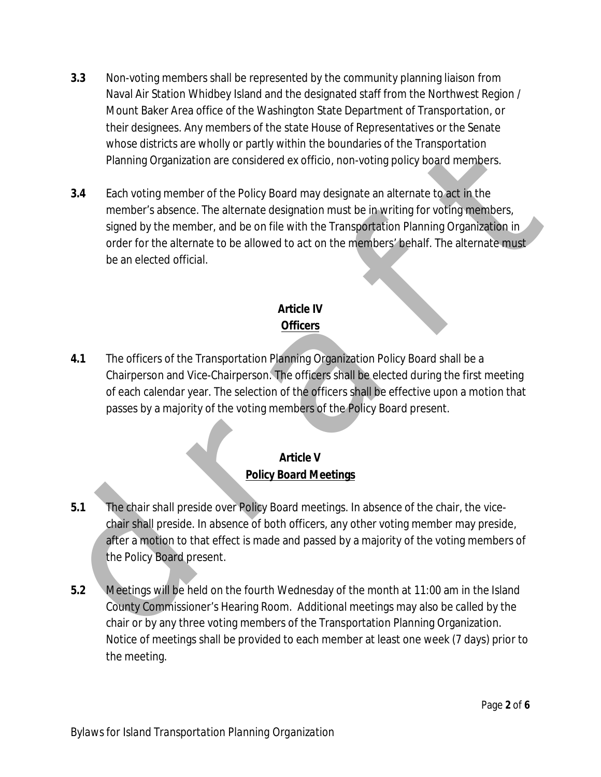- **3.3** Non-voting members shall be represented by the community planning liaison from Naval Air Station Whidbey Island and the designated staff from the Northwest Region / Mount Baker Area office of the Washington State Department of Transportation, or their designees. Any members of the state House of Representatives or the Senate whose districts are wholly or partly within the boundaries of the Transportation Planning Organization are considered ex officio, non-voting policy board members.
- mose districts are wholey prently within the boundaries or the liansportation<br>
Planning Organization are considered ex officio, non-voting policy board members<br>
above the prember of the Policy Board may designate an altern **3.4** Each voting member of the Policy Board may designate an alternate to act in the member's absence. The alternate designation must be in writing for voting members, signed by the member, and be on file with the Transportation Planning Organization in order for the alternate to be allowed to act on the members' behalf. The alternate must be an elected official.

# **Article IV Officers**

**4.1** The officers of the Transportation Planning Organization Policy Board shall be a Chairperson and Vice-Chairperson. The officers shall be elected during the first meeting of each calendar year. The selection of the officers shall be effective upon a motion that passes by a majority of the voting members of the Policy Board present.

# **Article V Policy Board Meetings**

- **5.1** The chair shall preside over Policy Board meetings. In absence of the chair, the vicechair shall preside. In absence of both officers, any other voting member may preside, after a motion to that effect is made and passed by a majority of the voting members of the Policy Board present.
- **5.2** Meetings will be held on the fourth Wednesday of the month at 11:00 am in the Island County Commissioner's Hearing Room. Additional meetings may also be called by the chair or by any three voting members of the Transportation Planning Organization. Notice of meetings shall be provided to each member at least one week (7 days) prior to the meeting.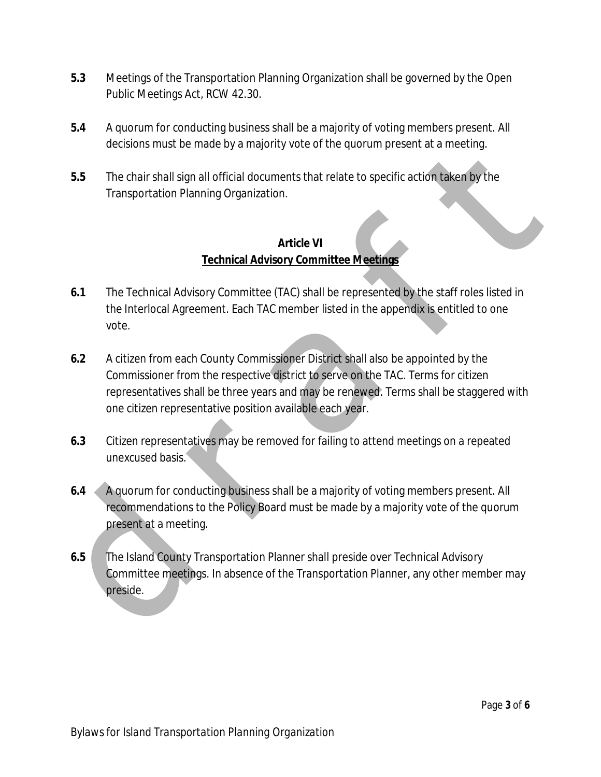- **5.3** Meetings of the Transportation Planning Organization shall be governed by the Open Public Meetings Act, RCW 42.30.
- **5.4** A quorum for conducting business shall be a majority of voting members present. All decisions must be made by a majority vote of the quorum present at a meeting.
- **5.5** The chair shall sign all official documents that relate to specific action taken by the Transportation Planning Organization.

### **Article VI Technical Advisory Committee Meetings**

- **6.1** The Technical Advisory Committee (TAC) shall be represented by the staff roles listed in the Interlocal Agreement. Each TAC member listed in the appendix is entitled to one vote.
- decisions must be made by a majority vote of the quorum present at a meeting.<br>
The char shall sign all official documents that relate to specific action taken by the<br>
Transportation Planning Organization.<br>
Article VI<br> **Art 6.2** A citizen from each County Commissioner District shall also be appointed by the Commissioner from the respective district to serve on the TAC. Terms for citizen representatives shall be three years and may be renewed. Terms shall be staggered with one citizen representative position available each year.
	- **6.3** Citizen representatives may be removed for failing to attend meetings on a repeated unexcused basis.
	- **6.4** A quorum for conducting business shall be a majority of voting members present. All recommendations to the Policy Board must be made by a majority vote of the quorum present at a meeting.
	- **6.5** The Island County Transportation Planner shall preside over Technical Advisory Committee meetings. In absence of the Transportation Planner, any other member may preside.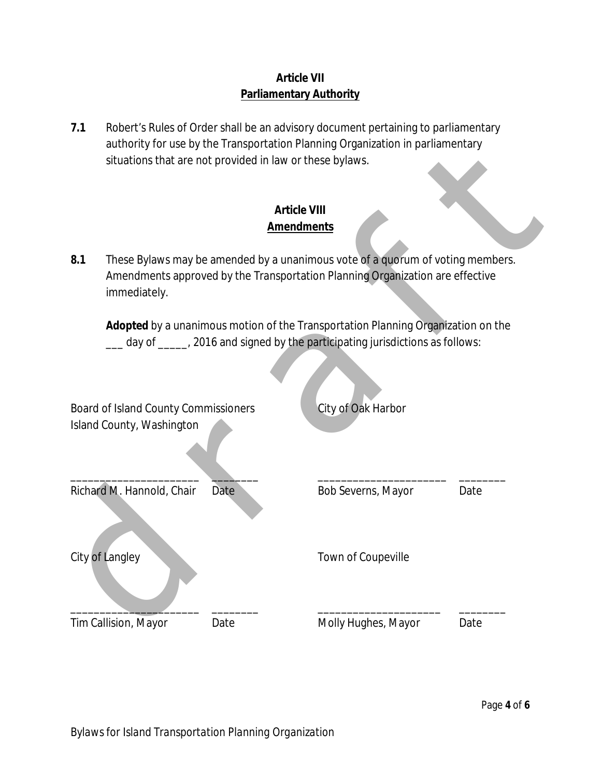# **Article VII Parliamentary Authority**

**7.1** Robert's Rules of Order shall be an advisory document pertaining to parliamentary authority for use by the Transportation Planning Organization in parliamentary situations that are not provided in law or these bylaws.

# **Article VIII Amendments**

|                                             | situations that are not provided in law or these bylaws.                                                                                                        | authority for use by the Transportation Planning Organization in parilamentary                                                                                  |      |  |  |
|---------------------------------------------|-----------------------------------------------------------------------------------------------------------------------------------------------------------------|-----------------------------------------------------------------------------------------------------------------------------------------------------------------|------|--|--|
|                                             |                                                                                                                                                                 | <b>Article VIII</b><br><b>Amendments</b>                                                                                                                        |      |  |  |
| 8.1<br>immediately.                         | These Bylaws may be amended by a unanimous vote of a quorum of voting members.<br>Amendments approved by the Transportation Planning Organization are effective |                                                                                                                                                                 |      |  |  |
|                                             |                                                                                                                                                                 | Adopted by a unanimous motion of the Transportation Planning Organization on the<br>day of ____, 2016 and signed by the participating jurisdictions as follows: |      |  |  |
| <b>Board of Island County Commissioners</b> |                                                                                                                                                                 | City of Oak Harbor                                                                                                                                              |      |  |  |
| Island County, Washington                   |                                                                                                                                                                 |                                                                                                                                                                 |      |  |  |
| Richard M. Hannold, Chair                   | Date                                                                                                                                                            | Bob Severns, Mayor                                                                                                                                              | Date |  |  |
| City of Langley                             |                                                                                                                                                                 | Town of Coupeville                                                                                                                                              |      |  |  |
| Tim Callision, Mayor                        | Date                                                                                                                                                            | Molly Hughes, Mayor                                                                                                                                             | Date |  |  |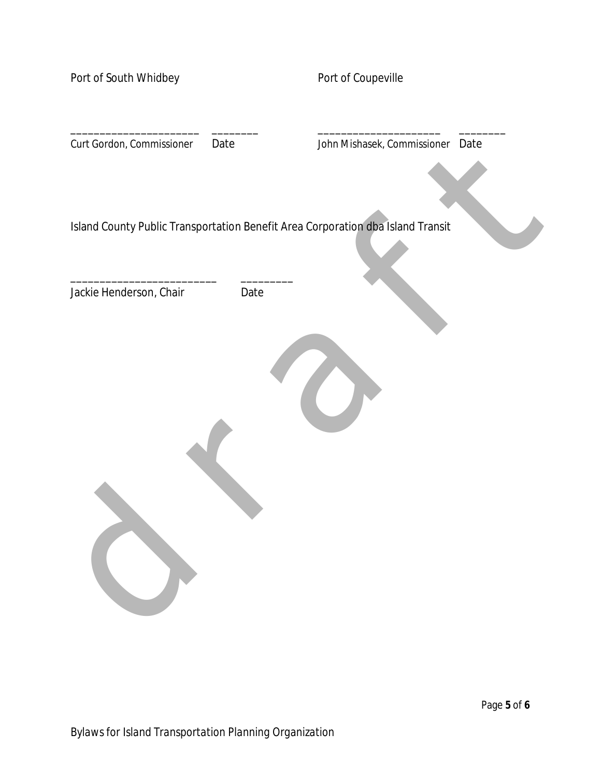| Port of South Whidbey     |      | Port of Coupeville                                                              |  |
|---------------------------|------|---------------------------------------------------------------------------------|--|
| Curt Gordon, Commissioner | Date | John Mishasek, Commissioner Date                                                |  |
|                           |      | Island County Public Transportation Benefit Area Corporation dba Island Transit |  |
| Jackie Henderson, Chair   | Date |                                                                                 |  |
|                           |      |                                                                                 |  |
|                           |      |                                                                                 |  |
|                           |      |                                                                                 |  |
|                           |      |                                                                                 |  |
|                           |      |                                                                                 |  |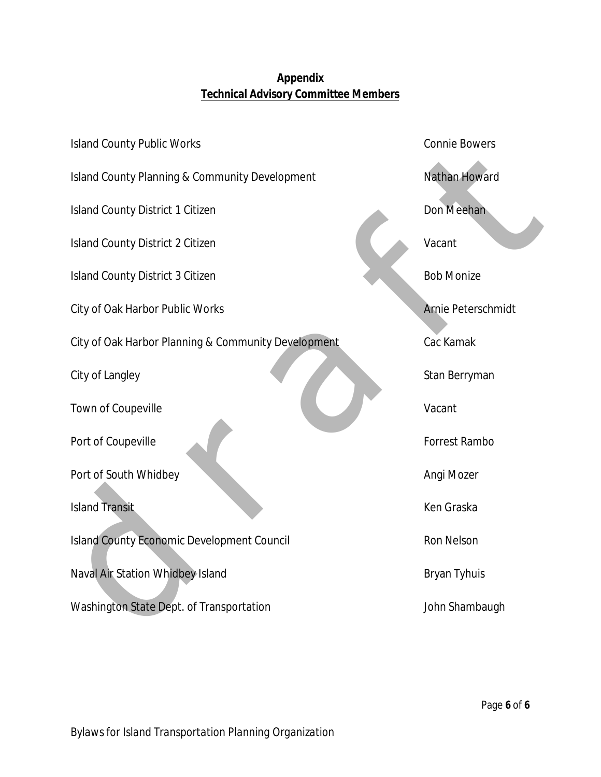# **Appendix Technical Advisory Committee Members**

| <b>Island County Public Works</b>                         | <b>Connie Bowers</b> |
|-----------------------------------------------------------|----------------------|
| <b>Island County Planning &amp; Community Development</b> | <b>Nathan Howard</b> |
| <b>Island County District 1 Citizen</b>                   | Don Meehan           |
| <b>Island County District 2 Citizen</b>                   | Vacant               |
| <b>Island County District 3 Citizen</b>                   | <b>Bob Monize</b>    |
| City of Oak Harbor Public Works                           | Arnie Peterschmidt   |
| City of Oak Harbor Planning & Community Development       | Cac Kamak            |
| City of Langley                                           | Stan Berryman        |
| Town of Coupeville                                        | Vacant               |
| Port of Coupeville                                        | Forrest Rambo        |
| Port of South Whidbey                                     | Angi Mozer           |
| <b>Island Transit</b>                                     | Ken Graska           |
| <b>Island County Economic Development Council</b>         | <b>Ron Nelson</b>    |
| Naval Air Station Whidbey Island                          | <b>Bryan Tyhuis</b>  |
| Washington State Dept. of Transportation                  | John Shambaugh       |
|                                                           |                      |